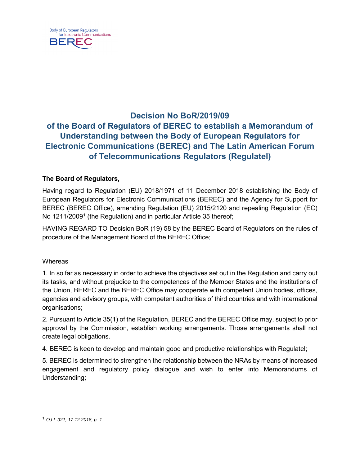

# **Decision No BoR/2019/09 of the Board of Regulators of BEREC to establish a Memorandum of Understanding between the Body of European Regulators for Electronic Communications (BEREC) and The Latin American Forum of Telecommunications Regulators (Regulatel)**

## **The Board of Regulators,**

Having regard to Regulation (EU) 2018/1971 of 11 December 2018 establishing the Body of European Regulators for Electronic Communications (BEREC) and the Agency for Support for BEREC (BEREC Office), amending Regulation (EU) 2015/2120 and repealing Regulation (EC) No [1](#page-0-0)211/2009<sup>1</sup> (the Regulation) and in particular Article 35 thereof;

HAVING REGARD TO Decision BoR (19) 58 by the BEREC Board of Regulators on the rules of procedure of the Management Board of the BEREC Office;

#### **Whereas**

1. In so far as necessary in order to achieve the objectives set out in the Regulation and carry out its tasks, and without prejudice to the competences of the Member States and the institutions of the Union, BEREC and the BEREC Office may cooperate with competent Union bodies, offices, agencies and advisory groups, with competent authorities of third countries and with international organisations;

2. Pursuant to Article 35(1) of the Regulation, BEREC and the BEREC Office may, subject to prior approval by the Commission, establish working arrangements. Those arrangements shall not create legal obligations.

4. BEREC is keen to develop and maintain good and productive relationships with Regulatel;

5. BEREC is determined to strengthen the relationship between the NRAs by means of increased engagement and regulatory policy dialogue and wish to enter into Memorandums of Understanding;

<span id="page-0-0"></span> <sup>1</sup> *OJ L 321, 17.12.2018, p. 1*